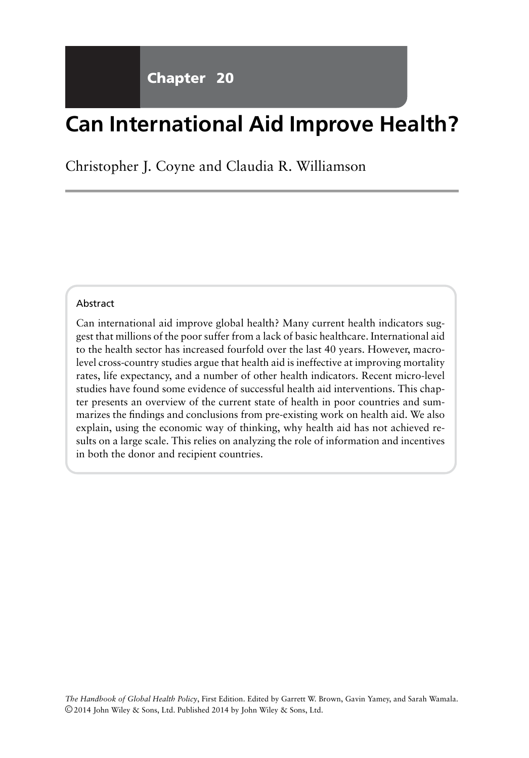## **Chapter 20**

# **Can International Aid Improve Health?**

Christopher J. Coyne and Claudia R. Williamson

#### Abstract

Can international aid improve global health? Many current health indicators suggest that millions of the poor suffer from a lack of basic healthcare. International aid to the health sector has increased fourfold over the last 40 years. However, macrolevel cross-country studies argue that health aid is ineffective at improving mortality rates, life expectancy, and a number of other health indicators. Recent micro-level studies have found some evidence of successful health aid interventions. This chapter presents an overview of the current state of health in poor countries and summarizes the findings and conclusions from pre-existing work on health aid. We also explain, using the economic way of thinking, why health aid has not achieved results on a large scale. This relies on analyzing the role of information and incentives in both the donor and recipient countries.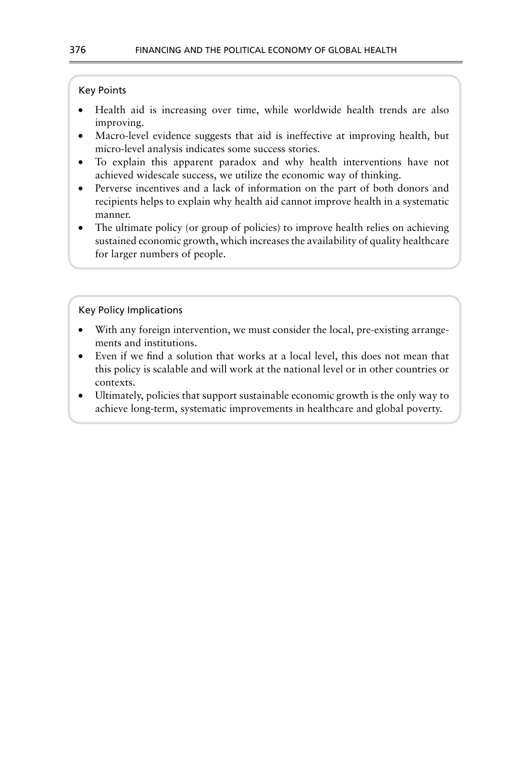### Key Points

- ∙ Health aid is increasing over time, while worldwide health trends are also improving.
- ∙ Macro-level evidence suggests that aid is ineffective at improving health, but micro-level analysis indicates some success stories.
- ∙ To explain this apparent paradox and why health interventions have not achieved widescale success, we utilize the economic way of thinking.
- ∙ Perverse incentives and a lack of information on the part of both donors and recipients helps to explain why health aid cannot improve health in a systematic manner.
- ∙ The ultimate policy (or group of policies) to improve health relies on achieving sustained economic growth, which increases the availability of quality healthcare for larger numbers of people.

#### Key Policy Implications

- ∙ With any foreign intervention, we must consider the local, pre-existing arrangements and institutions.
- ∙ Even if we find a solution that works at a local level, this does not mean that this policy is scalable and will work at the national level or in other countries or contexts.
- ∙ Ultimately, policies that support sustainable economic growth is the only way to achieve long-term, systematic improvements in healthcare and global poverty.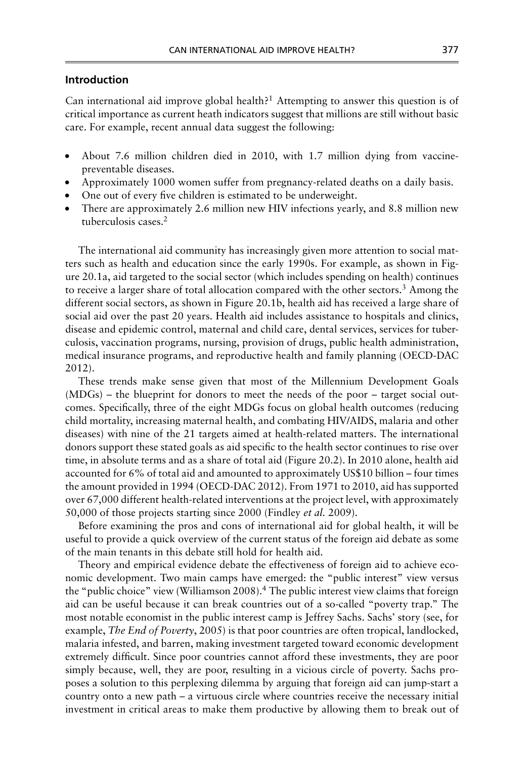#### **Introduction**

Can international aid improve global health?<sup>1</sup> Attempting to answer this question is of critical importance as current heath indicators suggest that millions are still without basic care. For example, recent annual data suggest the following:

- ∙ About 7.6 million children died in 2010, with 1.7 million dying from vaccinepreventable diseases.
- ∙ Approximately 1000 women suffer from pregnancy-related deaths on a daily basis.
- ∙ One out of every five children is estimated to be underweight.
- ∙ There are approximately 2.6 million new HIV infections yearly, and 8.8 million new tuberculosis cases.2

The international aid community has increasingly given more attention to social matters such as health and education since the early 1990s. For example, as shown in Figure 20.1a, aid targeted to the social sector (which includes spending on health) continues to receive a larger share of total allocation compared with the other sectors.<sup>3</sup> Among the different social sectors, as shown in Figure 20.1b, health aid has received a large share of social aid over the past 20 years. Health aid includes assistance to hospitals and clinics, disease and epidemic control, maternal and child care, dental services, services for tuberculosis, vaccination programs, nursing, provision of drugs, public health administration, medical insurance programs, and reproductive health and family planning (OECD-DAC 2012).

These trends make sense given that most of the Millennium Development Goals (MDGs) – the blueprint for donors to meet the needs of the poor – target social outcomes. Specifically, three of the eight MDGs focus on global health outcomes (reducing child mortality, increasing maternal health, and combating HIV/AIDS, malaria and other diseases) with nine of the 21 targets aimed at health-related matters. The international donors support these stated goals as aid specific to the health sector continues to rise over time, in absolute terms and as a share of total aid (Figure 20.2). In 2010 alone, health aid accounted for 6% of total aid and amounted to approximately US\$10 billion – four times the amount provided in 1994 (OECD-DAC 2012). From 1971 to 2010, aid has supported over 67,000 different health-related interventions at the project level, with approximately 50,000 of those projects starting since 2000 (Findley *et al.* 2009).

Before examining the pros and cons of international aid for global health, it will be useful to provide a quick overview of the current status of the foreign aid debate as some of the main tenants in this debate still hold for health aid.

Theory and empirical evidence debate the effectiveness of foreign aid to achieve economic development. Two main camps have emerged: the "public interest" view versus the "public choice" view (Williamson 2008).<sup>4</sup> The public interest view claims that foreign aid can be useful because it can break countries out of a so-called "poverty trap." The most notable economist in the public interest camp is Jeffrey Sachs. Sachs' story (see, for example, *The End of Poverty*, 2005) is that poor countries are often tropical, landlocked, malaria infested, and barren, making investment targeted toward economic development extremely difficult. Since poor countries cannot afford these investments, they are poor simply because, well, they are poor, resulting in a vicious circle of poverty. Sachs proposes a solution to this perplexing dilemma by arguing that foreign aid can jump-start a country onto a new path – a virtuous circle where countries receive the necessary initial investment in critical areas to make them productive by allowing them to break out of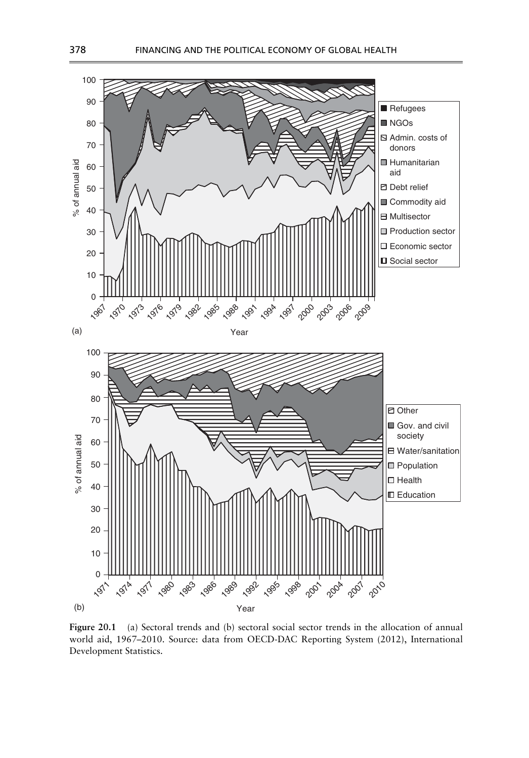

Figure 20.1 (a) Sectoral trends and (b) sectoral social sector trends in the allocation of annual world aid, 1967–2010. Source: data from OECD-DAC Reporting System (2012), International Development Statistics.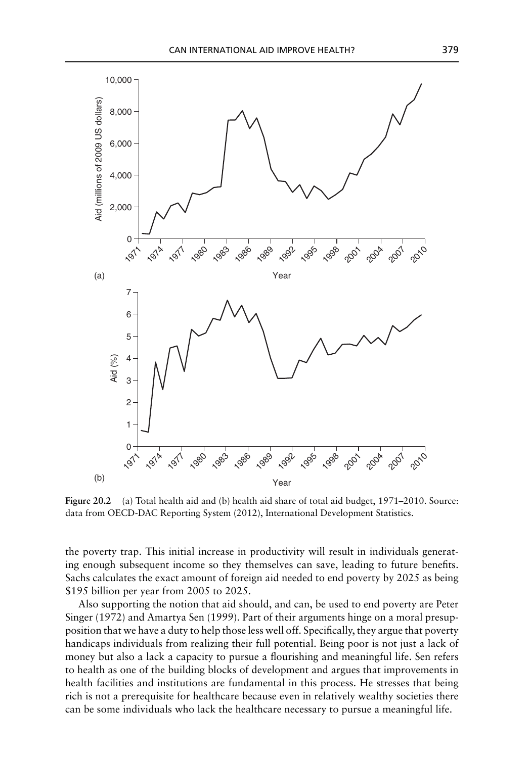

**Figure 20.2** (a) Total health aid and (b) health aid share of total aid budget, 1971–2010. Source: data from OECD-DAC Reporting System (2012), International Development Statistics.

the poverty trap. This initial increase in productivity will result in individuals generating enough subsequent income so they themselves can save, leading to future benefits. Sachs calculates the exact amount of foreign aid needed to end poverty by 2025 as being \$195 billion per year from 2005 to 2025.

Also supporting the notion that aid should, and can, be used to end poverty are Peter Singer (1972) and Amartya Sen (1999). Part of their arguments hinge on a moral presupposition that we have a duty to help those less well off. Specifically, they argue that poverty handicaps individuals from realizing their full potential. Being poor is not just a lack of money but also a lack a capacity to pursue a flourishing and meaningful life. Sen refers to health as one of the building blocks of development and argues that improvements in health facilities and institutions are fundamental in this process. He stresses that being rich is not a prerequisite for healthcare because even in relatively wealthy societies there can be some individuals who lack the healthcare necessary to pursue a meaningful life.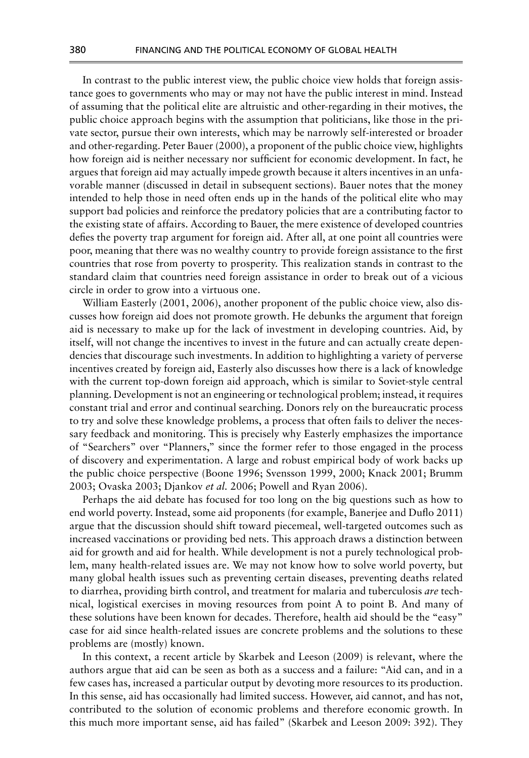In contrast to the public interest view, the public choice view holds that foreign assistance goes to governments who may or may not have the public interest in mind. Instead of assuming that the political elite are altruistic and other-regarding in their motives, the public choice approach begins with the assumption that politicians, like those in the private sector, pursue their own interests, which may be narrowly self-interested or broader and other-regarding. Peter Bauer (2000), a proponent of the public choice view, highlights how foreign aid is neither necessary nor sufficient for economic development. In fact, he argues that foreign aid may actually impede growth because it alters incentives in an unfavorable manner (discussed in detail in subsequent sections). Bauer notes that the money intended to help those in need often ends up in the hands of the political elite who may support bad policies and reinforce the predatory policies that are a contributing factor to the existing state of affairs. According to Bauer, the mere existence of developed countries defies the poverty trap argument for foreign aid. After all, at one point all countries were poor, meaning that there was no wealthy country to provide foreign assistance to the first countries that rose from poverty to prosperity. This realization stands in contrast to the standard claim that countries need foreign assistance in order to break out of a vicious circle in order to grow into a virtuous one.

William Easterly (2001, 2006), another proponent of the public choice view, also discusses how foreign aid does not promote growth. He debunks the argument that foreign aid is necessary to make up for the lack of investment in developing countries. Aid, by itself, will not change the incentives to invest in the future and can actually create dependencies that discourage such investments. In addition to highlighting a variety of perverse incentives created by foreign aid, Easterly also discusses how there is a lack of knowledge with the current top-down foreign aid approach, which is similar to Soviet-style central planning. Development is not an engineering or technological problem; instead, it requires constant trial and error and continual searching. Donors rely on the bureaucratic process to try and solve these knowledge problems, a process that often fails to deliver the necessary feedback and monitoring. This is precisely why Easterly emphasizes the importance of "Searchers" over "Planners," since the former refer to those engaged in the process of discovery and experimentation. A large and robust empirical body of work backs up the public choice perspective (Boone 1996; Svensson 1999, 2000; Knack 2001; Brumm 2003; Ovaska 2003; Djankov *et al.* 2006; Powell and Ryan 2006).

Perhaps the aid debate has focused for too long on the big questions such as how to end world poverty. Instead, some aid proponents (for example, Banerjee and Duflo 2011) argue that the discussion should shift toward piecemeal, well-targeted outcomes such as increased vaccinations or providing bed nets. This approach draws a distinction between aid for growth and aid for health. While development is not a purely technological problem, many health-related issues are. We may not know how to solve world poverty, but many global health issues such as preventing certain diseases, preventing deaths related to diarrhea, providing birth control, and treatment for malaria and tuberculosis *are* technical, logistical exercises in moving resources from point A to point B. And many of these solutions have been known for decades. Therefore, health aid should be the "easy" case for aid since health-related issues are concrete problems and the solutions to these problems are (mostly) known.

In this context, a recent article by Skarbek and Leeson (2009) is relevant, where the authors argue that aid can be seen as both as a success and a failure: "Aid can, and in a few cases has, increased a particular output by devoting more resources to its production. In this sense, aid has occasionally had limited success. However, aid cannot, and has not, contributed to the solution of economic problems and therefore economic growth. In this much more important sense, aid has failed" (Skarbek and Leeson 2009: 392). They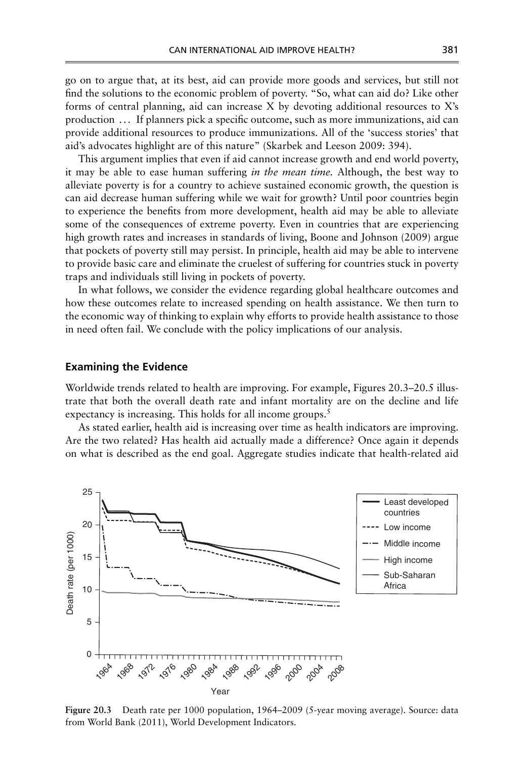go on to argue that, at its best, aid can provide more goods and services, but still not find the solutions to the economic problem of poverty. "So, what can aid do? Like other forms of central planning, aid can increase X by devoting additional resources to X's production ... If planners pick a specific outcome, such as more immunizations, aid can provide additional resources to produce immunizations. All of the 'success stories' that aid's advocates highlight are of this nature" (Skarbek and Leeson 2009: 394).

This argument implies that even if aid cannot increase growth and end world poverty, it may be able to ease human suffering *in the mean time.* Although, the best way to alleviate poverty is for a country to achieve sustained economic growth, the question is can aid decrease human suffering while we wait for growth? Until poor countries begin to experience the benefits from more development, health aid may be able to alleviate some of the consequences of extreme poverty. Even in countries that are experiencing high growth rates and increases in standards of living, Boone and Johnson (2009) argue that pockets of poverty still may persist. In principle, health aid may be able to intervene to provide basic care and eliminate the cruelest of suffering for countries stuck in poverty traps and individuals still living in pockets of poverty.

In what follows, we consider the evidence regarding global healthcare outcomes and how these outcomes relate to increased spending on health assistance. We then turn to the economic way of thinking to explain why efforts to provide health assistance to those in need often fail. We conclude with the policy implications of our analysis.

#### **Examining the Evidence**

Worldwide trends related to health are improving. For example, Figures 20.3–20.5 illustrate that both the overall death rate and infant mortality are on the decline and life expectancy is increasing. This holds for all income groups.<sup>5</sup>

As stated earlier, health aid is increasing over time as health indicators are improving. Are the two related? Has health aid actually made a difference? Once again it depends on what is described as the end goal. Aggregate studies indicate that health-related aid



**Figure 20.3** Death rate per 1000 population, 1964–2009 (5-year moving average). Source: data from World Bank (2011), World Development Indicators.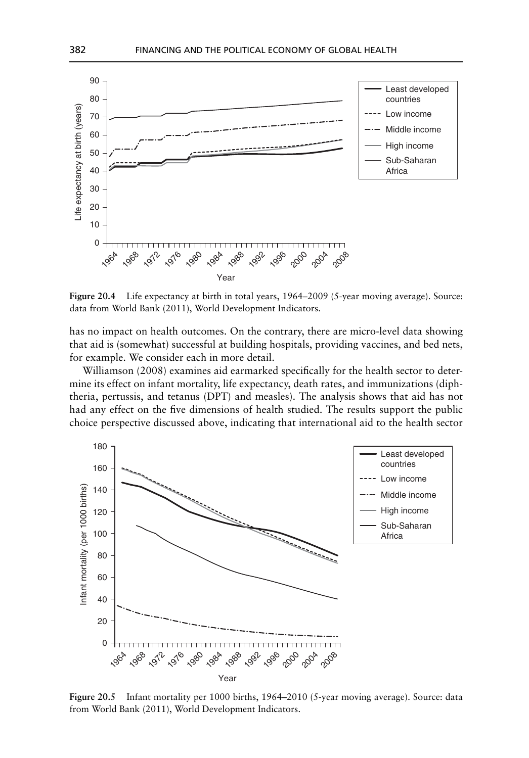

**Figure 20.4** Life expectancy at birth in total years, 1964–2009 (5-year moving average). Source: data from World Bank (2011), World Development Indicators.

has no impact on health outcomes. On the contrary, there are micro-level data showing that aid is (somewhat) successful at building hospitals, providing vaccines, and bed nets, for example. We consider each in more detail.

Williamson (2008) examines aid earmarked specifically for the health sector to determine its effect on infant mortality, life expectancy, death rates, and immunizations (diphtheria, pertussis, and tetanus (DPT) and measles). The analysis shows that aid has not had any effect on the five dimensions of health studied. The results support the public choice perspective discussed above, indicating that international aid to the health sector



**Figure 20.5** Infant mortality per 1000 births, 1964–2010 (5-year moving average). Source: data from World Bank (2011), World Development Indicators.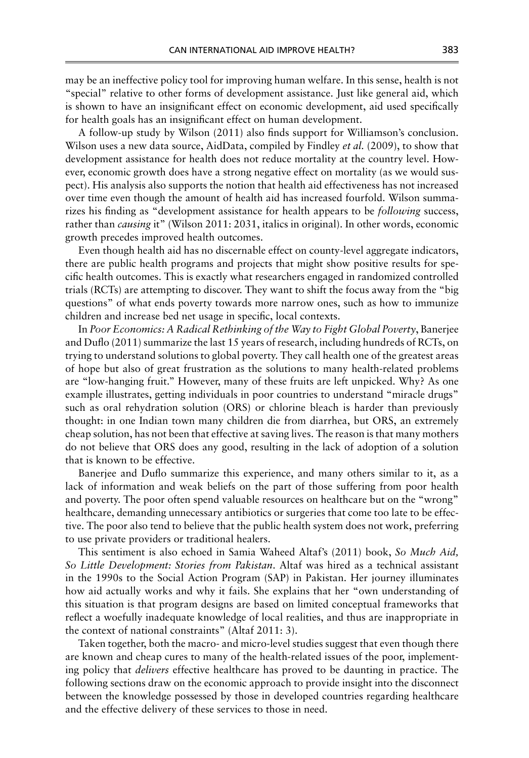may be an ineffective policy tool for improving human welfare. In this sense, health is not "special" relative to other forms of development assistance. Just like general aid, which is shown to have an insignificant effect on economic development, aid used specifically for health goals has an insignificant effect on human development.

A follow-up study by Wilson (2011) also finds support for Williamson's conclusion. Wilson uses a new data source, AidData, compiled by Findley *et al.* (2009), to show that development assistance for health does not reduce mortality at the country level. However, economic growth does have a strong negative effect on mortality (as we would suspect). His analysis also supports the notion that health aid effectiveness has not increased over time even though the amount of health aid has increased fourfold. Wilson summarizes his finding as "development assistance for health appears to be *following* success, rather than *causing* it" (Wilson 2011: 2031, italics in original). In other words, economic growth precedes improved health outcomes.

Even though health aid has no discernable effect on county-level aggregate indicators, there are public health programs and projects that might show positive results for specific health outcomes. This is exactly what researchers engaged in randomized controlled trials (RCTs) are attempting to discover. They want to shift the focus away from the "big questions" of what ends poverty towards more narrow ones, such as how to immunize children and increase bed net usage in specific, local contexts.

In *Poor Economics: A Radical Rethinking of the Way to Fight Global Poverty*, Banerjee and Duflo (2011) summarize the last 15 years of research, including hundreds of RCTs, on trying to understand solutions to global poverty. They call health one of the greatest areas of hope but also of great frustration as the solutions to many health-related problems are "low-hanging fruit." However, many of these fruits are left unpicked. Why? As one example illustrates, getting individuals in poor countries to understand "miracle drugs" such as oral rehydration solution (ORS) or chlorine bleach is harder than previously thought: in one Indian town many children die from diarrhea, but ORS, an extremely cheap solution, has not been that effective at saving lives. The reason is that many mothers do not believe that ORS does any good, resulting in the lack of adoption of a solution that is known to be effective.

Banerjee and Duflo summarize this experience, and many others similar to it, as a lack of information and weak beliefs on the part of those suffering from poor health and poverty. The poor often spend valuable resources on healthcare but on the "wrong" healthcare, demanding unnecessary antibiotics or surgeries that come too late to be effective. The poor also tend to believe that the public health system does not work, preferring to use private providers or traditional healers.

This sentiment is also echoed in Samia Waheed Altaf's (2011) book, *So Much Aid, So Little Development: Stories from Pakistan*. Altaf was hired as a technical assistant in the 1990s to the Social Action Program (SAP) in Pakistan. Her journey illuminates how aid actually works and why it fails. She explains that her "own understanding of this situation is that program designs are based on limited conceptual frameworks that reflect a woefully inadequate knowledge of local realities, and thus are inappropriate in the context of national constraints" (Altaf 2011: 3).

Taken together, both the macro- and micro-level studies suggest that even though there are known and cheap cures to many of the health-related issues of the poor, implementing policy that *delivers* effective healthcare has proved to be daunting in practice. The following sections draw on the economic approach to provide insight into the disconnect between the knowledge possessed by those in developed countries regarding healthcare and the effective delivery of these services to those in need.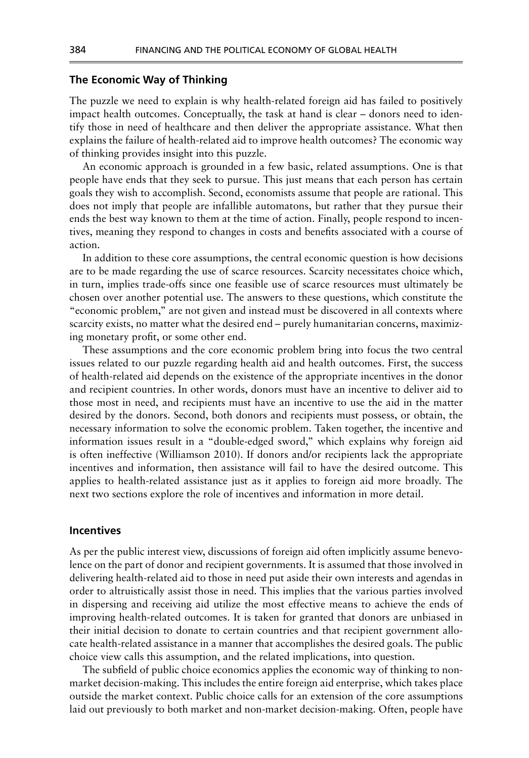#### **The Economic Way of Thinking**

The puzzle we need to explain is why health-related foreign aid has failed to positively impact health outcomes. Conceptually, the task at hand is clear – donors need to identify those in need of healthcare and then deliver the appropriate assistance. What then explains the failure of health-related aid to improve health outcomes? The economic way of thinking provides insight into this puzzle.

An economic approach is grounded in a few basic, related assumptions. One is that people have ends that they seek to pursue. This just means that each person has certain goals they wish to accomplish. Second, economists assume that people are rational. This does not imply that people are infallible automatons, but rather that they pursue their ends the best way known to them at the time of action. Finally, people respond to incentives, meaning they respond to changes in costs and benefits associated with a course of action.

In addition to these core assumptions, the central economic question is how decisions are to be made regarding the use of scarce resources. Scarcity necessitates choice which, in turn, implies trade-offs since one feasible use of scarce resources must ultimately be chosen over another potential use. The answers to these questions, which constitute the "economic problem," are not given and instead must be discovered in all contexts where scarcity exists, no matter what the desired end – purely humanitarian concerns, maximizing monetary profit, or some other end.

These assumptions and the core economic problem bring into focus the two central issues related to our puzzle regarding health aid and health outcomes. First, the success of health-related aid depends on the existence of the appropriate incentives in the donor and recipient countries. In other words, donors must have an incentive to deliver aid to those most in need, and recipients must have an incentive to use the aid in the matter desired by the donors. Second, both donors and recipients must possess, or obtain, the necessary information to solve the economic problem. Taken together, the incentive and information issues result in a "double-edged sword," which explains why foreign aid is often ineffective (Williamson 2010). If donors and/or recipients lack the appropriate incentives and information, then assistance will fail to have the desired outcome. This applies to health-related assistance just as it applies to foreign aid more broadly. The next two sections explore the role of incentives and information in more detail.

#### **Incentives**

As per the public interest view, discussions of foreign aid often implicitly assume benevolence on the part of donor and recipient governments. It is assumed that those involved in delivering health-related aid to those in need put aside their own interests and agendas in order to altruistically assist those in need. This implies that the various parties involved in dispersing and receiving aid utilize the most effective means to achieve the ends of improving health-related outcomes. It is taken for granted that donors are unbiased in their initial decision to donate to certain countries and that recipient government allocate health-related assistance in a manner that accomplishes the desired goals. The public choice view calls this assumption, and the related implications, into question.

The subfield of public choice economics applies the economic way of thinking to nonmarket decision-making. This includes the entire foreign aid enterprise, which takes place outside the market context. Public choice calls for an extension of the core assumptions laid out previously to both market and non-market decision-making. Often, people have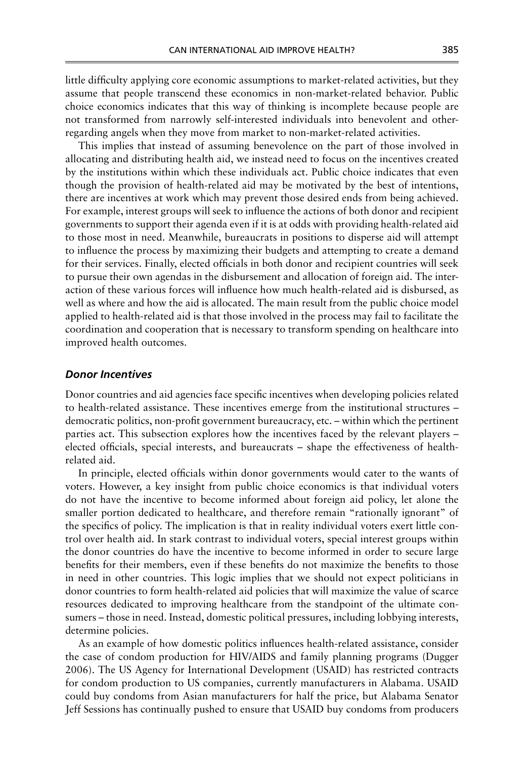little difficulty applying core economic assumptions to market-related activities, but they assume that people transcend these economics in non-market-related behavior. Public choice economics indicates that this way of thinking is incomplete because people are not transformed from narrowly self-interested individuals into benevolent and otherregarding angels when they move from market to non-market-related activities.

This implies that instead of assuming benevolence on the part of those involved in allocating and distributing health aid, we instead need to focus on the incentives created by the institutions within which these individuals act. Public choice indicates that even though the provision of health-related aid may be motivated by the best of intentions, there are incentives at work which may prevent those desired ends from being achieved. For example, interest groups will seek to influence the actions of both donor and recipient governments to support their agenda even if it is at odds with providing health-related aid to those most in need. Meanwhile, bureaucrats in positions to disperse aid will attempt to influence the process by maximizing their budgets and attempting to create a demand for their services. Finally, elected officials in both donor and recipient countries will seek to pursue their own agendas in the disbursement and allocation of foreign aid. The interaction of these various forces will influence how much health-related aid is disbursed, as well as where and how the aid is allocated. The main result from the public choice model applied to health-related aid is that those involved in the process may fail to facilitate the coordination and cooperation that is necessary to transform spending on healthcare into improved health outcomes.

#### *Donor Incentives*

Donor countries and aid agencies face specific incentives when developing policies related to health-related assistance. These incentives emerge from the institutional structures – democratic politics, non-profit government bureaucracy, etc. – within which the pertinent parties act. This subsection explores how the incentives faced by the relevant players – elected officials, special interests, and bureaucrats – shape the effectiveness of healthrelated aid.

In principle, elected officials within donor governments would cater to the wants of voters. However, a key insight from public choice economics is that individual voters do not have the incentive to become informed about foreign aid policy, let alone the smaller portion dedicated to healthcare, and therefore remain "rationally ignorant" of the specifics of policy. The implication is that in reality individual voters exert little control over health aid. In stark contrast to individual voters, special interest groups within the donor countries do have the incentive to become informed in order to secure large benefits for their members, even if these benefits do not maximize the benefits to those in need in other countries. This logic implies that we should not expect politicians in donor countries to form health-related aid policies that will maximize the value of scarce resources dedicated to improving healthcare from the standpoint of the ultimate consumers – those in need. Instead, domestic political pressures, including lobbying interests, determine policies.

As an example of how domestic politics influences health-related assistance, consider the case of condom production for HIV/AIDS and family planning programs (Dugger 2006). The US Agency for International Development (USAID) has restricted contracts for condom production to US companies, currently manufacturers in Alabama. USAID could buy condoms from Asian manufacturers for half the price, but Alabama Senator Jeff Sessions has continually pushed to ensure that USAID buy condoms from producers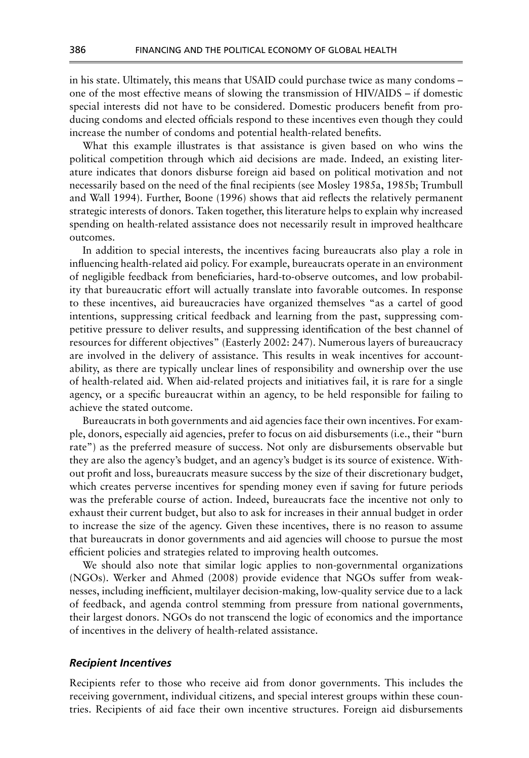in his state. Ultimately, this means that USAID could purchase twice as many condoms – one of the most effective means of slowing the transmission of HIV/AIDS – if domestic special interests did not have to be considered. Domestic producers benefit from producing condoms and elected officials respond to these incentives even though they could increase the number of condoms and potential health-related benefits.

What this example illustrates is that assistance is given based on who wins the political competition through which aid decisions are made. Indeed, an existing literature indicates that donors disburse foreign aid based on political motivation and not necessarily based on the need of the final recipients (see Mosley 1985a, 1985b; Trumbull and Wall 1994). Further, Boone (1996) shows that aid reflects the relatively permanent strategic interests of donors. Taken together, this literature helps to explain why increased spending on health-related assistance does not necessarily result in improved healthcare outcomes.

In addition to special interests, the incentives facing bureaucrats also play a role in influencing health-related aid policy. For example, bureaucrats operate in an environment of negligible feedback from beneficiaries, hard-to-observe outcomes, and low probability that bureaucratic effort will actually translate into favorable outcomes. In response to these incentives, aid bureaucracies have organized themselves "as a cartel of good intentions, suppressing critical feedback and learning from the past, suppressing competitive pressure to deliver results, and suppressing identification of the best channel of resources for different objectives" (Easterly 2002: 247). Numerous layers of bureaucracy are involved in the delivery of assistance. This results in weak incentives for accountability, as there are typically unclear lines of responsibility and ownership over the use of health-related aid. When aid-related projects and initiatives fail, it is rare for a single agency, or a specific bureaucrat within an agency, to be held responsible for failing to achieve the stated outcome.

Bureaucrats in both governments and aid agencies face their own incentives. For example, donors, especially aid agencies, prefer to focus on aid disbursements (i.e., their "burn rate") as the preferred measure of success. Not only are disbursements observable but they are also the agency's budget, and an agency's budget is its source of existence. Without profit and loss, bureaucrats measure success by the size of their discretionary budget, which creates perverse incentives for spending money even if saving for future periods was the preferable course of action. Indeed, bureaucrats face the incentive not only to exhaust their current budget, but also to ask for increases in their annual budget in order to increase the size of the agency. Given these incentives, there is no reason to assume that bureaucrats in donor governments and aid agencies will choose to pursue the most efficient policies and strategies related to improving health outcomes.

We should also note that similar logic applies to non-governmental organizations (NGOs). Werker and Ahmed (2008) provide evidence that NGOs suffer from weaknesses, including inefficient, multilayer decision-making, low-quality service due to a lack of feedback, and agenda control stemming from pressure from national governments, their largest donors. NGOs do not transcend the logic of economics and the importance of incentives in the delivery of health-related assistance.

#### *Recipient Incentives*

Recipients refer to those who receive aid from donor governments. This includes the receiving government, individual citizens, and special interest groups within these countries. Recipients of aid face their own incentive structures. Foreign aid disbursements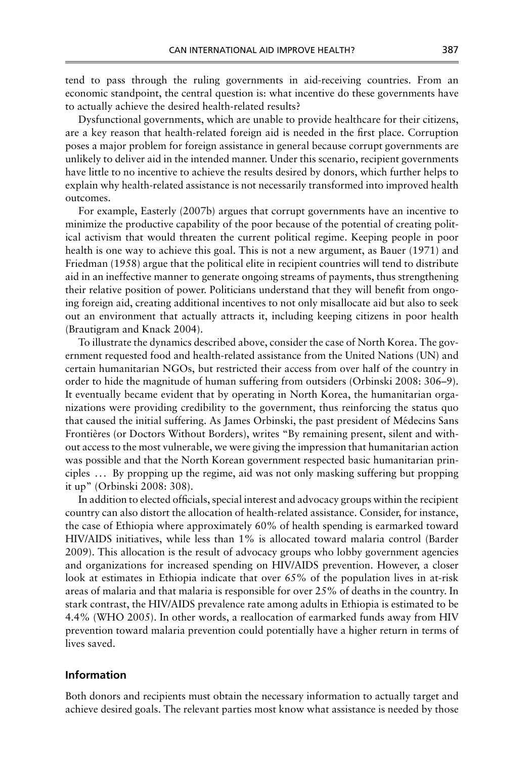tend to pass through the ruling governments in aid-receiving countries. From an economic standpoint, the central question is: what incentive do these governments have to actually achieve the desired health-related results?

Dysfunctional governments, which are unable to provide healthcare for their citizens, are a key reason that health-related foreign aid is needed in the first place. Corruption poses a major problem for foreign assistance in general because corrupt governments are unlikely to deliver aid in the intended manner. Under this scenario, recipient governments have little to no incentive to achieve the results desired by donors, which further helps to explain why health-related assistance is not necessarily transformed into improved health outcomes.

For example, Easterly (2007b) argues that corrupt governments have an incentive to minimize the productive capability of the poor because of the potential of creating political activism that would threaten the current political regime. Keeping people in poor health is one way to achieve this goal. This is not a new argument, as Bauer (1971) and Friedman (1958) argue that the political elite in recipient countries will tend to distribute aid in an ineffective manner to generate ongoing streams of payments, thus strengthening their relative position of power. Politicians understand that they will benefit from ongoing foreign aid, creating additional incentives to not only misallocate aid but also to seek out an environment that actually attracts it, including keeping citizens in poor health (Brautigram and Knack 2004).

To illustrate the dynamics described above, consider the case of North Korea. The government requested food and health-related assistance from the United Nations (UN) and certain humanitarian NGOs, but restricted their access from over half of the country in order to hide the magnitude of human suffering from outsiders (Orbinski 2008: 306–9). It eventually became evident that by operating in North Korea, the humanitarian organizations were providing credibility to the government, thus reinforcing the status quo that caused the initial suffering. As James Orbinski, the past president of Medecins Sans ´ Frontières (or Doctors Without Borders), writes "By remaining present, silent and without access to the most vulnerable, we were giving the impression that humanitarian action was possible and that the North Korean government respected basic humanitarian principles ... By propping up the regime, aid was not only masking suffering but propping it up" (Orbinski 2008: 308).

In addition to elected officials, special interest and advocacy groups within the recipient country can also distort the allocation of health-related assistance. Consider, for instance, the case of Ethiopia where approximately 60% of health spending is earmarked toward HIV/AIDS initiatives, while less than 1% is allocated toward malaria control (Barder 2009). This allocation is the result of advocacy groups who lobby government agencies and organizations for increased spending on HIV/AIDS prevention. However, a closer look at estimates in Ethiopia indicate that over 65% of the population lives in at-risk areas of malaria and that malaria is responsible for over 25% of deaths in the country. In stark contrast, the HIV/AIDS prevalence rate among adults in Ethiopia is estimated to be 4.4% (WHO 2005). In other words, a reallocation of earmarked funds away from HIV prevention toward malaria prevention could potentially have a higher return in terms of lives saved.

#### **Information**

Both donors and recipients must obtain the necessary information to actually target and achieve desired goals. The relevant parties most know what assistance is needed by those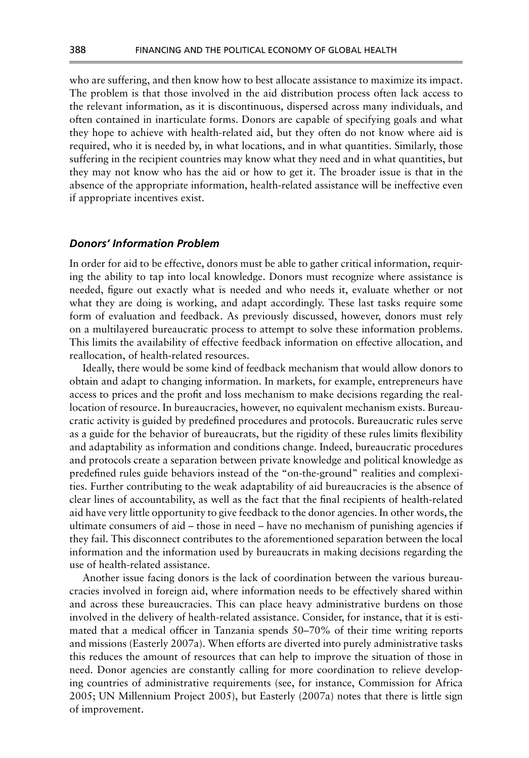who are suffering, and then know how to best allocate assistance to maximize its impact. The problem is that those involved in the aid distribution process often lack access to the relevant information, as it is discontinuous, dispersed across many individuals, and often contained in inarticulate forms. Donors are capable of specifying goals and what they hope to achieve with health-related aid, but they often do not know where aid is required, who it is needed by, in what locations, and in what quantities. Similarly, those suffering in the recipient countries may know what they need and in what quantities, but they may not know who has the aid or how to get it. The broader issue is that in the absence of the appropriate information, health-related assistance will be ineffective even if appropriate incentives exist.

#### *Donors' Information Problem*

In order for aid to be effective, donors must be able to gather critical information, requiring the ability to tap into local knowledge. Donors must recognize where assistance is needed, figure out exactly what is needed and who needs it, evaluate whether or not what they are doing is working, and adapt accordingly. These last tasks require some form of evaluation and feedback. As previously discussed, however, donors must rely on a multilayered bureaucratic process to attempt to solve these information problems. This limits the availability of effective feedback information on effective allocation, and reallocation, of health-related resources.

Ideally, there would be some kind of feedback mechanism that would allow donors to obtain and adapt to changing information. In markets, for example, entrepreneurs have access to prices and the profit and loss mechanism to make decisions regarding the reallocation of resource. In bureaucracies, however, no equivalent mechanism exists. Bureaucratic activity is guided by predefined procedures and protocols. Bureaucratic rules serve as a guide for the behavior of bureaucrats, but the rigidity of these rules limits flexibility and adaptability as information and conditions change. Indeed, bureaucratic procedures and protocols create a separation between private knowledge and political knowledge as predefined rules guide behaviors instead of the "on-the-ground" realities and complexities. Further contributing to the weak adaptability of aid bureaucracies is the absence of clear lines of accountability, as well as the fact that the final recipients of health-related aid have very little opportunity to give feedback to the donor agencies. In other words, the ultimate consumers of aid – those in need – have no mechanism of punishing agencies if they fail. This disconnect contributes to the aforementioned separation between the local information and the information used by bureaucrats in making decisions regarding the use of health-related assistance.

Another issue facing donors is the lack of coordination between the various bureaucracies involved in foreign aid, where information needs to be effectively shared within and across these bureaucracies. This can place heavy administrative burdens on those involved in the delivery of health-related assistance. Consider, for instance, that it is estimated that a medical officer in Tanzania spends 50–70% of their time writing reports and missions (Easterly 2007a). When efforts are diverted into purely administrative tasks this reduces the amount of resources that can help to improve the situation of those in need. Donor agencies are constantly calling for more coordination to relieve developing countries of administrative requirements (see, for instance, Commission for Africa 2005; UN Millennium Project 2005), but Easterly (2007a) notes that there is little sign of improvement.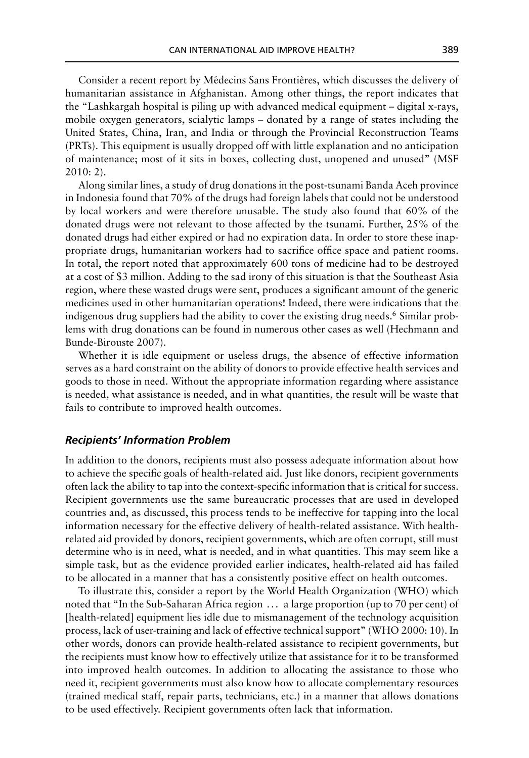Consider a recent report by Médecins Sans Frontières, which discusses the delivery of humanitarian assistance in Afghanistan. Among other things, the report indicates that the "Lashkargah hospital is piling up with advanced medical equipment – digital x-rays, mobile oxygen generators, scialytic lamps – donated by a range of states including the United States, China, Iran, and India or through the Provincial Reconstruction Teams (PRTs). This equipment is usually dropped off with little explanation and no anticipation of maintenance; most of it sits in boxes, collecting dust, unopened and unused" (MSF 2010: 2).

Along similar lines, a study of drug donations in the post-tsunami Banda Aceh province in Indonesia found that 70% of the drugs had foreign labels that could not be understood by local workers and were therefore unusable. The study also found that 60% of the donated drugs were not relevant to those affected by the tsunami. Further, 25% of the donated drugs had either expired or had no expiration data. In order to store these inappropriate drugs, humanitarian workers had to sacrifice office space and patient rooms. In total, the report noted that approximately 600 tons of medicine had to be destroyed at a cost of \$3 million. Adding to the sad irony of this situation is that the Southeast Asia region, where these wasted drugs were sent, produces a significant amount of the generic medicines used in other humanitarian operations! Indeed, there were indications that the indigenous drug suppliers had the ability to cover the existing drug needs.6 Similar problems with drug donations can be found in numerous other cases as well (Hechmann and Bunde-Birouste 2007).

Whether it is idle equipment or useless drugs, the absence of effective information serves as a hard constraint on the ability of donors to provide effective health services and goods to those in need. Without the appropriate information regarding where assistance is needed, what assistance is needed, and in what quantities, the result will be waste that fails to contribute to improved health outcomes.

#### *Recipients' Information Problem*

In addition to the donors, recipients must also possess adequate information about how to achieve the specific goals of health-related aid. Just like donors, recipient governments often lack the ability to tap into the context-specific information that is critical for success. Recipient governments use the same bureaucratic processes that are used in developed countries and, as discussed, this process tends to be ineffective for tapping into the local information necessary for the effective delivery of health-related assistance. With healthrelated aid provided by donors, recipient governments, which are often corrupt, still must determine who is in need, what is needed, and in what quantities. This may seem like a simple task, but as the evidence provided earlier indicates, health-related aid has failed to be allocated in a manner that has a consistently positive effect on health outcomes.

To illustrate this, consider a report by the World Health Organization (WHO) which noted that "In the Sub-Saharan Africa region ... a large proportion (up to 70 per cent) of [health-related] equipment lies idle due to mismanagement of the technology acquisition process, lack of user-training and lack of effective technical support" (WHO 2000: 10). In other words, donors can provide health-related assistance to recipient governments, but the recipients must know how to effectively utilize that assistance for it to be transformed into improved health outcomes. In addition to allocating the assistance to those who need it, recipient governments must also know how to allocate complementary resources (trained medical staff, repair parts, technicians, etc.) in a manner that allows donations to be used effectively. Recipient governments often lack that information.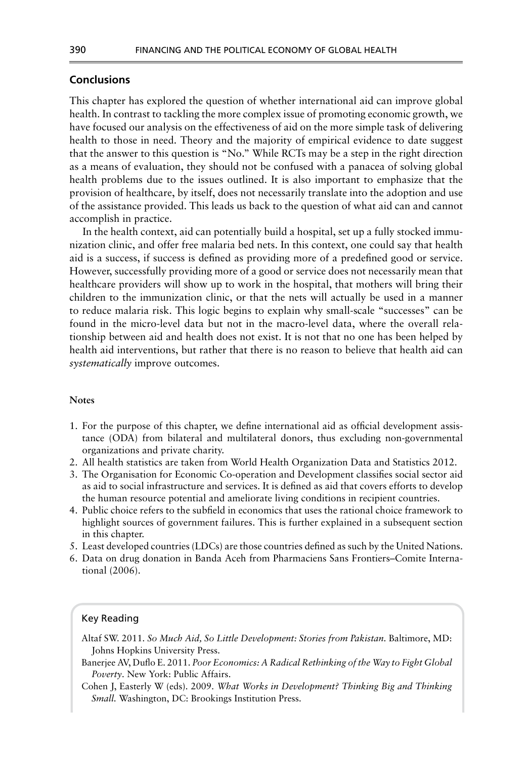#### **Conclusions**

This chapter has explored the question of whether international aid can improve global health. In contrast to tackling the more complex issue of promoting economic growth, we have focused our analysis on the effectiveness of aid on the more simple task of delivering health to those in need. Theory and the majority of empirical evidence to date suggest that the answer to this question is "No." While RCTs may be a step in the right direction as a means of evaluation, they should not be confused with a panacea of solving global health problems due to the issues outlined. It is also important to emphasize that the provision of healthcare, by itself, does not necessarily translate into the adoption and use of the assistance provided. This leads us back to the question of what aid can and cannot accomplish in practice.

In the health context, aid can potentially build a hospital, set up a fully stocked immunization clinic, and offer free malaria bed nets. In this context, one could say that health aid is a success, if success is defined as providing more of a predefined good or service. However, successfully providing more of a good or service does not necessarily mean that healthcare providers will show up to work in the hospital, that mothers will bring their children to the immunization clinic, or that the nets will actually be used in a manner to reduce malaria risk. This logic begins to explain why small-scale "successes" can be found in the micro-level data but not in the macro-level data, where the overall relationship between aid and health does not exist. It is not that no one has been helped by health aid interventions, but rather that there is no reason to believe that health aid can *systematically* improve outcomes.

#### **Notes**

- 1. For the purpose of this chapter, we define international aid as official development assistance (ODA) from bilateral and multilateral donors, thus excluding non-governmental organizations and private charity.
- 2. All health statistics are taken from World Health Organization Data and Statistics 2012.
- 3. The Organisation for Economic Co-operation and Development classifies social sector aid as aid to social infrastructure and services. It is defined as aid that covers efforts to develop the human resource potential and ameliorate living conditions in recipient countries.
- 4. Public choice refers to the subfield in economics that uses the rational choice framework to highlight sources of government failures. This is further explained in a subsequent section in this chapter.
- 5. Least developed countries (LDCs) are those countries defined as such by the United Nations.
- 6. Data on drug donation in Banda Aceh from Pharmaciens Sans Frontiers–Comite International (2006).

#### Key Reading

- Altaf SW. 2011. *So Much Aid, So Little Development: Stories from Pakistan.* Baltimore, MD: Johns Hopkins University Press.
- Banerjee AV, Duflo E. 2011. *Poor Economics: A Radical Rethinking of the Way to Fight Global Poverty*. New York: Public Affairs.
- Cohen J, Easterly W (eds). 2009. *What Works in Development? Thinking Big and Thinking Small.* Washington, DC: Brookings Institution Press.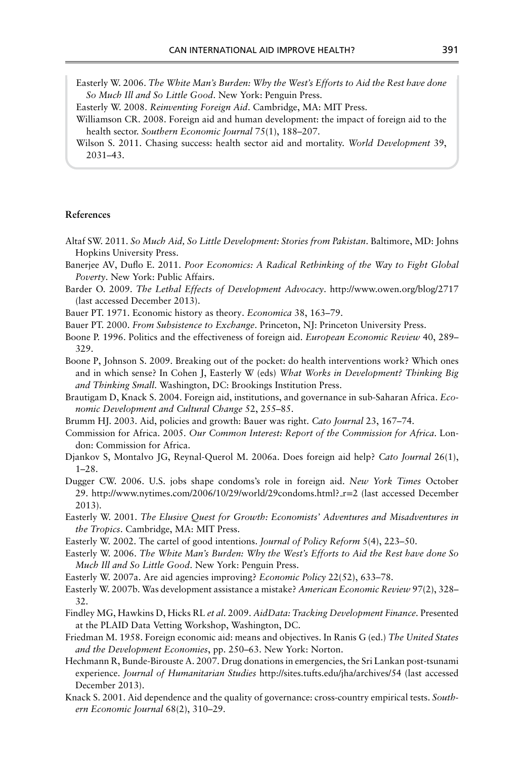- Easterly W. 2006. *The White Man's Burden: Why the West's Efforts to Aid the Rest have done So Much Ill and So Little Good*. New York: Penguin Press.
- Easterly W. 2008. *Reinventing Foreign Aid*. Cambridge, MA: MIT Press.
- Williamson CR. 2008. Foreign aid and human development: the impact of foreign aid to the health sector. *Southern Economic Journal* 75(1), 188–207.
- Wilson S. 2011. Chasing success: health sector aid and mortality. *World Development* 39, 2031–43.

#### **References**

- Altaf SW. 2011. *So Much Aid, So Little Development: Stories from Pakistan*. Baltimore, MD: Johns Hopkins University Press.
- Banerjee AV, Duflo E. 2011. *Poor Economics: A Radical Rethinking of the Way to Fight Global Poverty*. New York: Public Affairs.
- Barder O. 2009. *The Lethal Effects of Development Advocacy*. http://www.owen.org/blog/2717 (last accessed December 2013).
- Bauer PT. 1971. Economic history as theory. *Economica* 38, 163–79.
- Bauer PT. 2000. *From Subsistence to Exchange*. Princeton, NJ: Princeton University Press.
- Boone P. 1996. Politics and the effectiveness of foreign aid. *European Economic Review* 40, 289– 329.
- Boone P, Johnson S. 2009. Breaking out of the pocket: do health interventions work? Which ones and in which sense? In Cohen J, Easterly W (eds) *What Works in Development? Thinking Big and Thinking Small*. Washington, DC: Brookings Institution Press.

Brautigam D, Knack S. 2004. Foreign aid, institutions, and governance in sub-Saharan Africa. *Economic Development and Cultural Change* 52, 255–85.

- Brumm HJ. 2003. Aid, policies and growth: Bauer was right. *Cato Journal* 23, 167–74.
- Commission for Africa. 2005. *Our Common Interest: Report of the Commission for Africa*. London: Commission for Africa.
- Djankov S, Montalvo JG, Reynal-Querol M. 2006a. Does foreign aid help? *Cato Journal* 26(1), 1–28.
- Dugger CW. 2006. U.S. jobs shape condoms's role in foreign aid. *New York Times* October 29. http://www.nytimes.com/2006/10/29/world/29condoms.html? r=2 (last accessed December 2013).
- Easterly W. 2001. *The Elusive Quest for Growth: Economists' Adventures and Misadventures in the Tropics*. Cambridge, MA: MIT Press.
- Easterly W. 2002. The cartel of good intentions. *Journal of Policy Reform* 5(4), 223–50.
- Easterly W. 2006. *The White Man's Burden: Why the West's Efforts to Aid the Rest have done So Much Ill and So Little Good*. New York: Penguin Press.
- Easterly W. 2007a. Are aid agencies improving? *Economic Policy* 22(52), 633–78.
- Easterly W. 2007b. Was development assistance a mistake? *American Economic Review* 97(2), 328– 32.
- Findley MG, Hawkins D, Hicks RL *et al.* 2009. *AidData: Tracking Development Finance.* Presented at the PLAID Data Vetting Workshop, Washington, DC.
- Friedman M. 1958. Foreign economic aid: means and objectives. In Ranis G (ed.) *The United States and the Development Economies*, pp. 250–63. New York: Norton.
- Hechmann R, Bunde-Birouste A. 2007. Drug donations in emergencies, the Sri Lankan post-tsunami experience. *Journal of Humanitarian Studies* http://sites.tufts.edu/jha/archives/54 (last accessed December 2013).
- Knack S. 2001. Aid dependence and the quality of governance: cross-country empirical tests. *Southern Economic Journal* 68(2), 310–29.